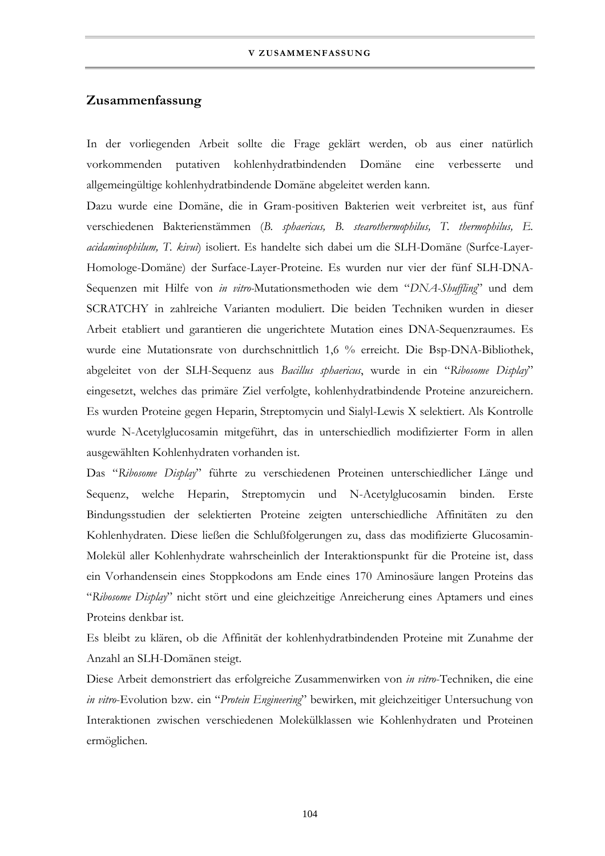## **Zusammenfassung**

In der vorliegenden Arbeit sollte die Frage geklärt werden, ob aus einer natürlich vorkommenden putativen kohlenhydratbindenden Domäne eine verbesserte und allgemeingültige kohlenhydratbindende Domäne abgeleitet werden kann.

Dazu wurde eine Domäne, die in Gram-positiven Bakterien weit verbreitet ist, aus fünf verschiedenen Bakterienstämmen (*B. sphaericus, B. stearothermophilus, T. thermophilus, E. acidaminophilum, T. kivui*) isoliert. Es handelte sich dabei um die SLH-Domäne (Surfce-Layer-Homologe-Domäne) der Surface-Layer-Proteine. Es wurden nur vier der fünf SLH-DNA-Sequenzen mit Hilfe von *in vitro-*Mutationsmethoden wie dem "*DNA-Shuffling*" und dem SCRATCHY in zahlreiche Varianten moduliert. Die beiden Techniken wurden in dieser Arbeit etabliert und garantieren die ungerichtete Mutation eines DNA-Sequenzraumes. Es wurde eine Mutationsrate von durchschnittlich 1,6 % erreicht. Die Bsp-DNA-Bibliothek, abgeleitet von der SLH-Sequenz aus *Bacillus sphaericus*, wurde in ein "*Ribosome Display*" eingesetzt, welches das primäre Ziel verfolgte, kohlenhydratbindende Proteine anzureichern. Es wurden Proteine gegen Heparin, Streptomycin und Sialyl-Lewis X selektiert. Als Kontrolle wurde N-Acetylglucosamin mitgeführt, das in unterschiedlich modifizierter Form in allen ausgewählten Kohlenhydraten vorhanden ist.

Das "*Ribosome Display*" führte zu verschiedenen Proteinen unterschiedlicher Länge und Sequenz, welche Heparin, Streptomycin und N-Acetylglucosamin binden. Erste Bindungsstudien der selektierten Proteine zeigten unterschiedliche Affinitäten zu den Kohlenhydraten. Diese ließen die Schlußfolgerungen zu, dass das modifizierte Glucosamin-Molekül aller Kohlenhydrate wahrscheinlich der Interaktionspunkt für die Proteine ist, dass ein Vorhandensein eines Stoppkodons am Ende eines 170 Aminosäure langen Proteins das "*Ribosome Display*" nicht stört und eine gleichzeitige Anreicherung eines Aptamers und eines Proteins denkbar ist.

Es bleibt zu klären, ob die Affinität der kohlenhydratbindenden Proteine mit Zunahme der Anzahl an SLH-Domänen steigt.

Diese Arbeit demonstriert das erfolgreiche Zusammenwirken von *in vitro*-Techniken, die eine *in vitro*-Evolution bzw. ein "*Protein Engineering*" bewirken, mit gleichzeitiger Untersuchung von Interaktionen zwischen verschiedenen Molekülklassen wie Kohlenhydraten und Proteinen ermöglichen.